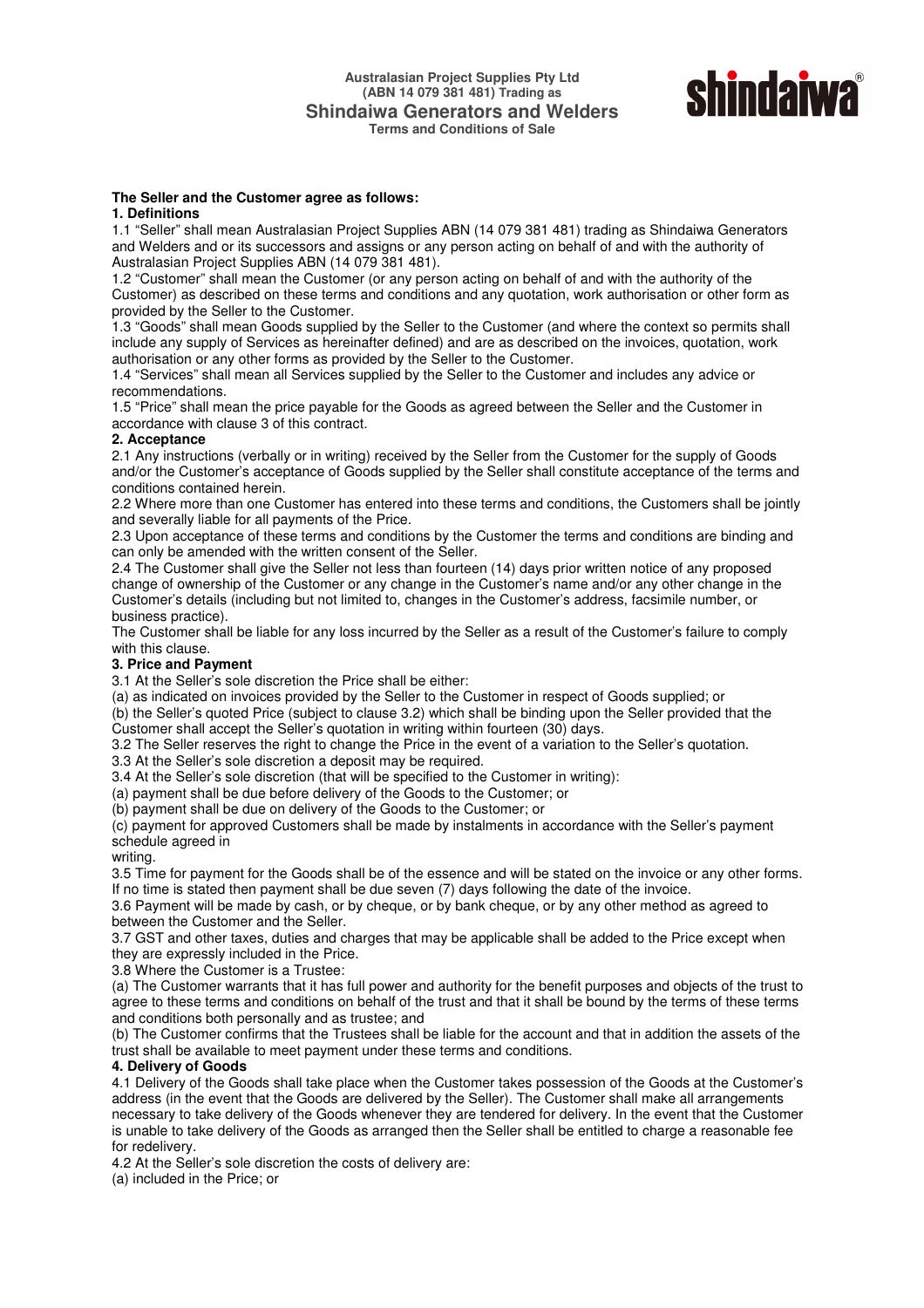

#### **The Seller and the Customer agree as follows:**

## **1. Definitions**

1.1 "Seller" shall mean Australasian Project Supplies ABN (14 079 381 481) trading as Shindaiwa Generators and Welders and or its successors and assigns or any person acting on behalf of and with the authority of Australasian Project Supplies ABN (14 079 381 481).

1.2 "Customer" shall mean the Customer (or any person acting on behalf of and with the authority of the Customer) as described on these terms and conditions and any quotation, work authorisation or other form as provided by the Seller to the Customer.

1.3 "Goods" shall mean Goods supplied by the Seller to the Customer (and where the context so permits shall include any supply of Services as hereinafter defined) and are as described on the invoices, quotation, work authorisation or any other forms as provided by the Seller to the Customer.

1.4 "Services" shall mean all Services supplied by the Seller to the Customer and includes any advice or recommendations.

1.5 "Price" shall mean the price payable for the Goods as agreed between the Seller and the Customer in accordance with clause 3 of this contract.

#### **2. Acceptance**

2.1 Any instructions (verbally or in writing) received by the Seller from the Customer for the supply of Goods and/or the Customer's acceptance of Goods supplied by the Seller shall constitute acceptance of the terms and conditions contained herein.

2.2 Where more than one Customer has entered into these terms and conditions, the Customers shall be jointly and severally liable for all payments of the Price.

2.3 Upon acceptance of these terms and conditions by the Customer the terms and conditions are binding and can only be amended with the written consent of the Seller.

2.4 The Customer shall give the Seller not less than fourteen (14) days prior written notice of any proposed change of ownership of the Customer or any change in the Customer's name and/or any other change in the Customer's details (including but not limited to, changes in the Customer's address, facsimile number, or business practice).

The Customer shall be liable for any loss incurred by the Seller as a result of the Customer's failure to comply with this clause.

### **3. Price and Payment**

3.1 At the Seller's sole discretion the Price shall be either:

(a) as indicated on invoices provided by the Seller to the Customer in respect of Goods supplied; or

(b) the Seller's quoted Price (subject to clause 3.2) which shall be binding upon the Seller provided that the Customer shall accept the Seller's quotation in writing within fourteen (30) days.

3.2 The Seller reserves the right to change the Price in the event of a variation to the Seller's quotation. 3.3 At the Seller's sole discretion a deposit may be required.

3.4 At the Seller's sole discretion (that will be specified to the Customer in writing):

(a) payment shall be due before delivery of the Goods to the Customer; or

(b) payment shall be due on delivery of the Goods to the Customer; or

(c) payment for approved Customers shall be made by instalments in accordance with the Seller's payment schedule agreed in

#### writing.

3.5 Time for payment for the Goods shall be of the essence and will be stated on the invoice or any other forms. If no time is stated then payment shall be due seven (7) days following the date of the invoice.

3.6 Payment will be made by cash, or by cheque, or by bank cheque, or by any other method as agreed to between the Customer and the Seller.

3.7 GST and other taxes, duties and charges that may be applicable shall be added to the Price except when they are expressly included in the Price.

3.8 Where the Customer is a Trustee:

(a) The Customer warrants that it has full power and authority for the benefit purposes and objects of the trust to agree to these terms and conditions on behalf of the trust and that it shall be bound by the terms of these terms and conditions both personally and as trustee; and

(b) The Customer confirms that the Trustees shall be liable for the account and that in addition the assets of the trust shall be available to meet payment under these terms and conditions.

## **4. Delivery of Goods**

4.1 Delivery of the Goods shall take place when the Customer takes possession of the Goods at the Customer's address (in the event that the Goods are delivered by the Seller). The Customer shall make all arrangements necessary to take delivery of the Goods whenever they are tendered for delivery. In the event that the Customer is unable to take delivery of the Goods as arranged then the Seller shall be entitled to charge a reasonable fee for redelivery.

4.2 At the Seller's sole discretion the costs of delivery are:

(a) included in the Price; or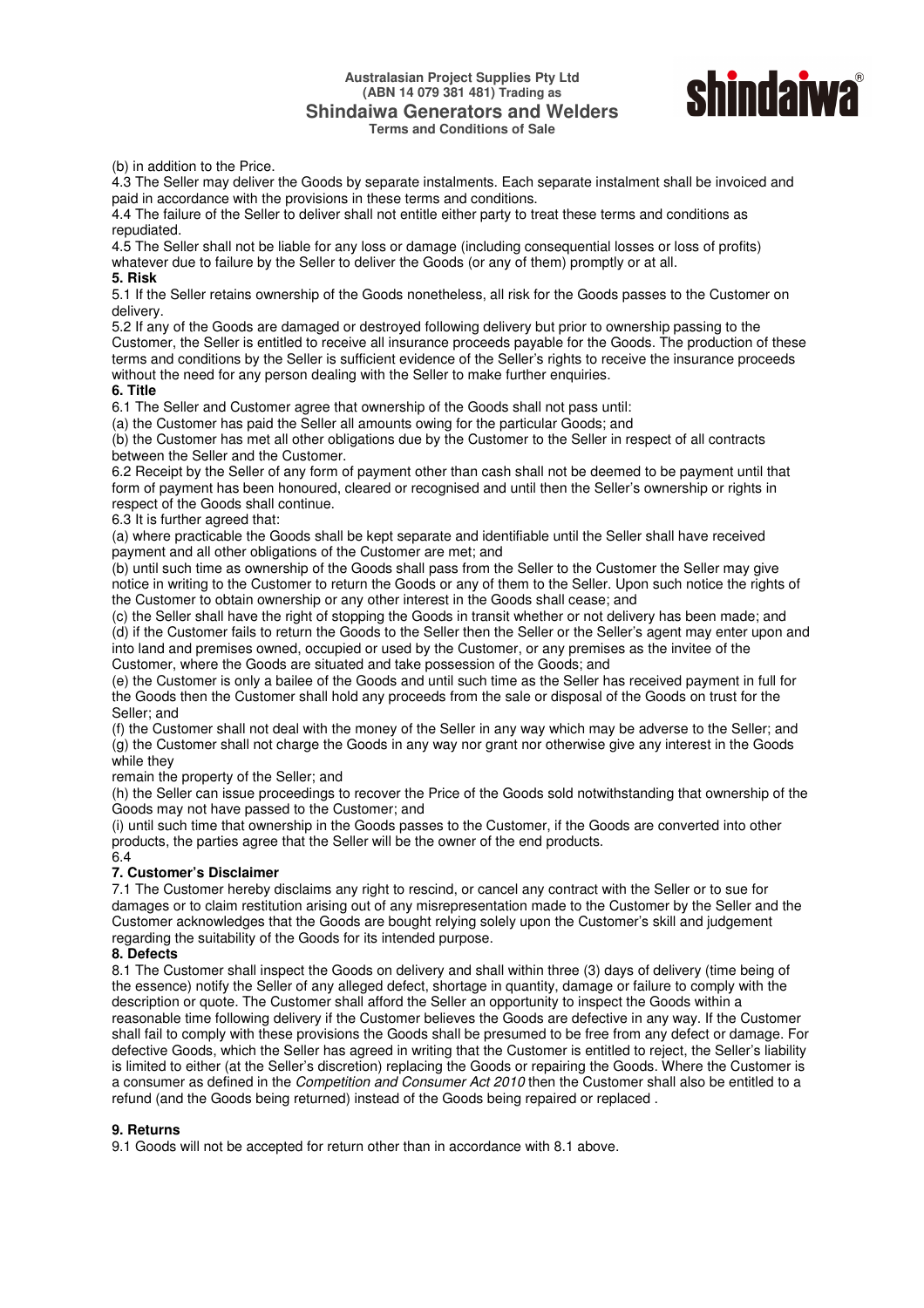### **Australasian Project Supplies Pty Ltd (ABN 14 079 381 481) Trading as Shindaiwa Generators and Welders Terms and Conditions of Sale**



(b) in addition to the Price.

4.3 The Seller may deliver the Goods by separate instalments. Each separate instalment shall be invoiced and paid in accordance with the provisions in these terms and conditions.

4.4 The failure of the Seller to deliver shall not entitle either party to treat these terms and conditions as repudiated.

4.5 The Seller shall not be liable for any loss or damage (including consequential losses or loss of profits) whatever due to failure by the Seller to deliver the Goods (or any of them) promptly or at all. **5. Risk** 

5.1 If the Seller retains ownership of the Goods nonetheless, all risk for the Goods passes to the Customer on delivery.

5.2 If any of the Goods are damaged or destroyed following delivery but prior to ownership passing to the Customer, the Seller is entitled to receive all insurance proceeds payable for the Goods. The production of these terms and conditions by the Seller is sufficient evidence of the Seller's rights to receive the insurance proceeds without the need for any person dealing with the Seller to make further enquiries.

#### **6. Title**

6.1 The Seller and Customer agree that ownership of the Goods shall not pass until:

(a) the Customer has paid the Seller all amounts owing for the particular Goods; and

(b) the Customer has met all other obligations due by the Customer to the Seller in respect of all contracts between the Seller and the Customer.

6.2 Receipt by the Seller of any form of payment other than cash shall not be deemed to be payment until that form of payment has been honoured, cleared or recognised and until then the Seller's ownership or rights in respect of the Goods shall continue.

6.3 It is further agreed that:

(a) where practicable the Goods shall be kept separate and identifiable until the Seller shall have received payment and all other obligations of the Customer are met; and

(b) until such time as ownership of the Goods shall pass from the Seller to the Customer the Seller may give notice in writing to the Customer to return the Goods or any of them to the Seller. Upon such notice the rights of the Customer to obtain ownership or any other interest in the Goods shall cease; and

(c) the Seller shall have the right of stopping the Goods in transit whether or not delivery has been made; and (d) if the Customer fails to return the Goods to the Seller then the Seller or the Seller's agent may enter upon and into land and premises owned, occupied or used by the Customer, or any premises as the invitee of the Customer, where the Goods are situated and take possession of the Goods; and

(e) the Customer is only a bailee of the Goods and until such time as the Seller has received payment in full for the Goods then the Customer shall hold any proceeds from the sale or disposal of the Goods on trust for the Seller; and

(f) the Customer shall not deal with the money of the Seller in any way which may be adverse to the Seller; and (g) the Customer shall not charge the Goods in any way nor grant nor otherwise give any interest in the Goods while they

remain the property of the Seller; and

(h) the Seller can issue proceedings to recover the Price of the Goods sold notwithstanding that ownership of the Goods may not have passed to the Customer; and

(i) until such time that ownership in the Goods passes to the Customer, if the Goods are converted into other products, the parties agree that the Seller will be the owner of the end products. 6.4

# **7. Customer's Disclaimer**

7.1 The Customer hereby disclaims any right to rescind, or cancel any contract with the Seller or to sue for damages or to claim restitution arising out of any misrepresentation made to the Customer by the Seller and the Customer acknowledges that the Goods are bought relying solely upon the Customer's skill and judgement regarding the suitability of the Goods for its intended purpose.

#### **8. Defects**

8.1 The Customer shall inspect the Goods on delivery and shall within three (3) days of delivery (time being of the essence) notify the Seller of any alleged defect, shortage in quantity, damage or failure to comply with the description or quote. The Customer shall afford the Seller an opportunity to inspect the Goods within a reasonable time following delivery if the Customer believes the Goods are defective in any way. If the Customer shall fail to comply with these provisions the Goods shall be presumed to be free from any defect or damage. For defective Goods, which the Seller has agreed in writing that the Customer is entitled to reject, the Seller's liability is limited to either (at the Seller's discretion) replacing the Goods or repairing the Goods. Where the Customer is a consumer as defined in the *Competition and Consumer Act 2010* then the Customer shall also be entitled to a refund (and the Goods being returned) instead of the Goods being repaired or replaced .

#### **9. Returns**

9.1 Goods will not be accepted for return other than in accordance with 8.1 above.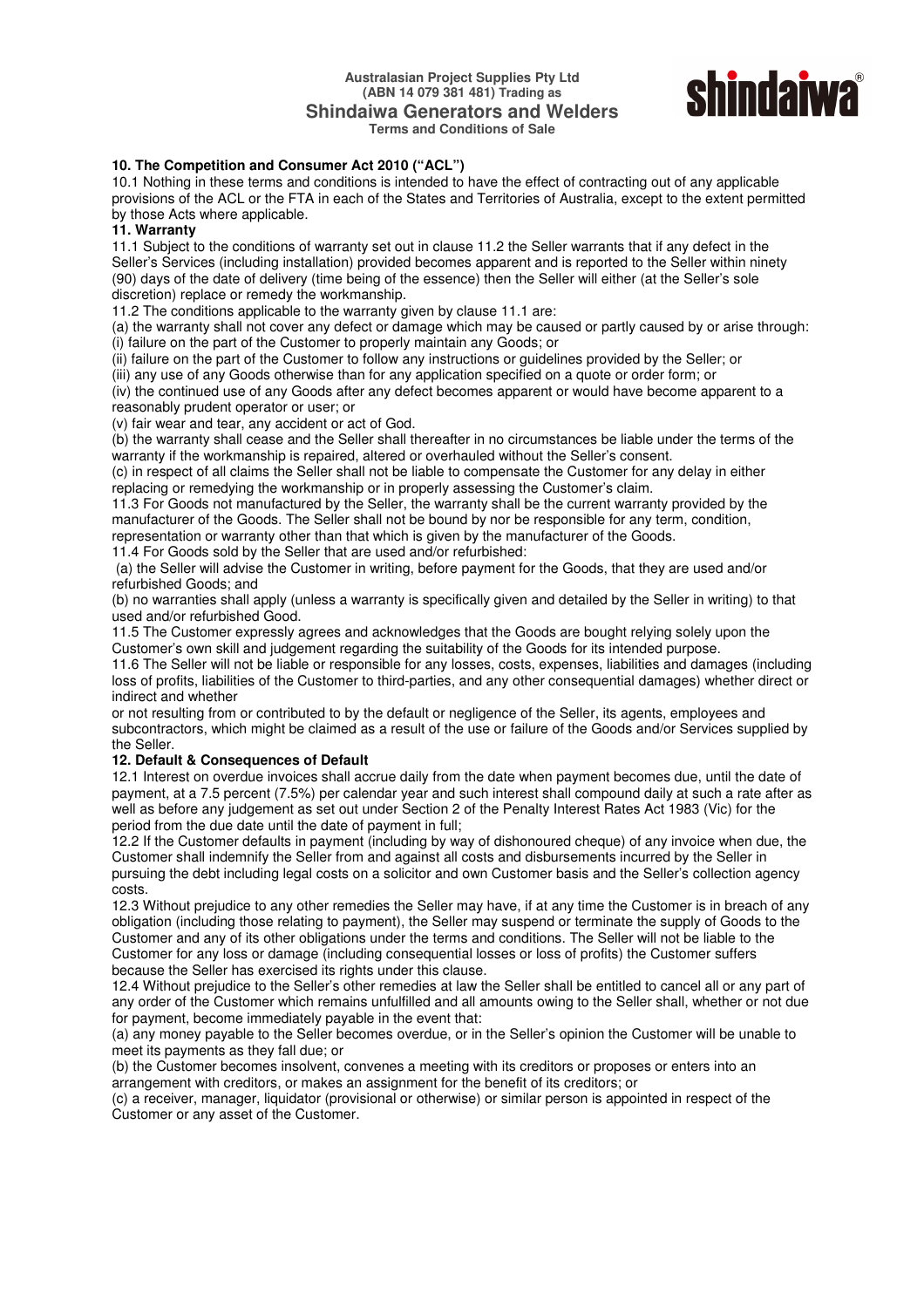#### **Australasian Project Supplies Pty Ltd (ABN 14 079 381 481) Trading as Shindaiwa Generators and Welders Terms and Conditions of Sale**



# **10. The Competition and Consumer Act 2010 ("ACL")**

10.1 Nothing in these terms and conditions is intended to have the effect of contracting out of any applicable provisions of the ACL or the FTA in each of the States and Territories of Australia, except to the extent permitted by those Acts where applicable.

### **11. Warranty**

11.1 Subject to the conditions of warranty set out in clause 11.2 the Seller warrants that if any defect in the Seller's Services (including installation) provided becomes apparent and is reported to the Seller within ninety (90) days of the date of delivery (time being of the essence) then the Seller will either (at the Seller's sole discretion) replace or remedy the workmanship.

11.2 The conditions applicable to the warranty given by clause 11.1 are:

(a) the warranty shall not cover any defect or damage which may be caused or partly caused by or arise through: (i) failure on the part of the Customer to properly maintain any Goods; or

(ii) failure on the part of the Customer to follow any instructions or guidelines provided by the Seller; or

(iii) any use of any Goods otherwise than for any application specified on a quote or order form; or

(iv) the continued use of any Goods after any defect becomes apparent or would have become apparent to a reasonably prudent operator or user; or

(v) fair wear and tear, any accident or act of God.

(b) the warranty shall cease and the Seller shall thereafter in no circumstances be liable under the terms of the warranty if the workmanship is repaired, altered or overhauled without the Seller's consent.

(c) in respect of all claims the Seller shall not be liable to compensate the Customer for any delay in either replacing or remedying the workmanship or in properly assessing the Customer's claim.

11.3 For Goods not manufactured by the Seller, the warranty shall be the current warranty provided by the manufacturer of the Goods. The Seller shall not be bound by nor be responsible for any term, condition, representation or warranty other than that which is given by the manufacturer of the Goods.

11.4 For Goods sold by the Seller that are used and/or refurbished:

 (a) the Seller will advise the Customer in writing, before payment for the Goods, that they are used and/or refurbished Goods; and

(b) no warranties shall apply (unless a warranty is specifically given and detailed by the Seller in writing) to that used and/or refurbished Good.

11.5 The Customer expressly agrees and acknowledges that the Goods are bought relying solely upon the Customer's own skill and judgement regarding the suitability of the Goods for its intended purpose.

11.6 The Seller will not be liable or responsible for any losses, costs, expenses, liabilities and damages (including loss of profits, liabilities of the Customer to third-parties, and any other consequential damages) whether direct or indirect and whether

or not resulting from or contributed to by the default or negligence of the Seller, its agents, employees and subcontractors, which might be claimed as a result of the use or failure of the Goods and/or Services supplied by the Seller.

# **12. Default & Consequences of Default**

12.1 Interest on overdue invoices shall accrue daily from the date when payment becomes due, until the date of payment, at a 7.5 percent (7.5%) per calendar year and such interest shall compound daily at such a rate after as well as before any judgement as set out under Section 2 of the Penalty Interest Rates Act 1983 (Vic) for the period from the due date until the date of payment in full;

12.2 If the Customer defaults in payment (including by way of dishonoured cheque) of any invoice when due, the Customer shall indemnify the Seller from and against all costs and disbursements incurred by the Seller in pursuing the debt including legal costs on a solicitor and own Customer basis and the Seller's collection agency costs.

12.3 Without prejudice to any other remedies the Seller may have, if at any time the Customer is in breach of any obligation (including those relating to payment), the Seller may suspend or terminate the supply of Goods to the Customer and any of its other obligations under the terms and conditions. The Seller will not be liable to the Customer for any loss or damage (including consequential losses or loss of profits) the Customer suffers because the Seller has exercised its rights under this clause.

12.4 Without prejudice to the Seller's other remedies at law the Seller shall be entitled to cancel all or any part of any order of the Customer which remains unfulfilled and all amounts owing to the Seller shall, whether or not due for payment, become immediately payable in the event that:

(a) any money payable to the Seller becomes overdue, or in the Seller's opinion the Customer will be unable to meet its payments as they fall due; or

(b) the Customer becomes insolvent, convenes a meeting with its creditors or proposes or enters into an arrangement with creditors, or makes an assignment for the benefit of its creditors; or

(c) a receiver, manager, liquidator (provisional or otherwise) or similar person is appointed in respect of the Customer or any asset of the Customer.